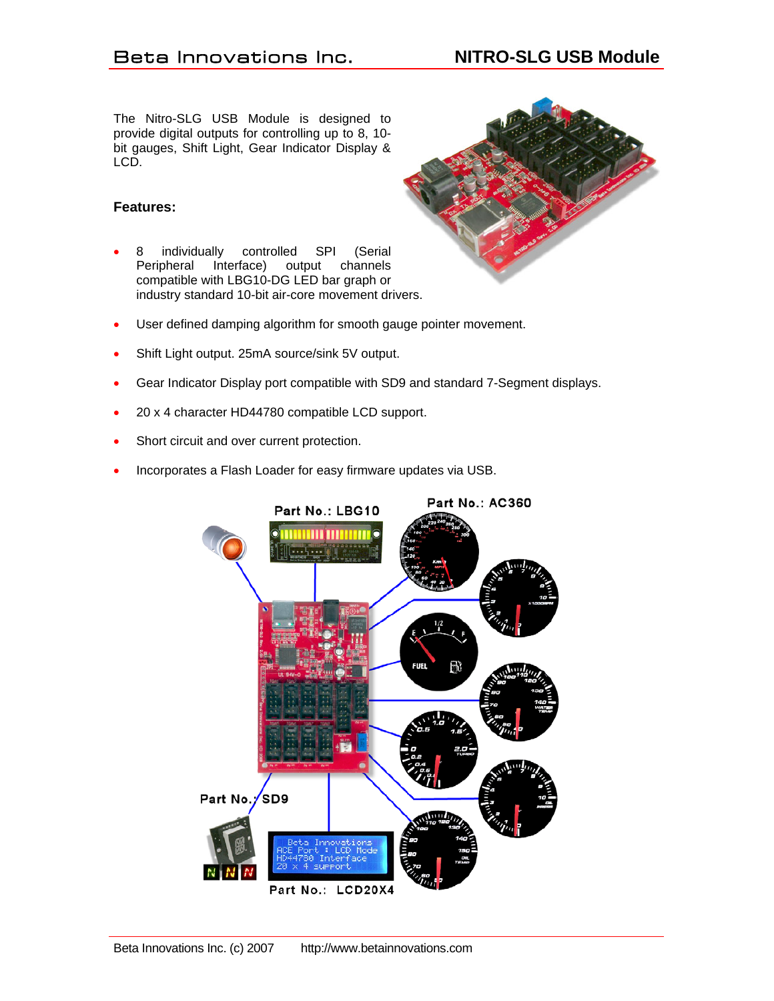The Nitro-SLG USB Module is designed to provide digital outputs for controlling up to 8, 10 bit gauges, Shift Light, Gear Indicator Display & LCD.

## **Features:**

- 8 individually controlled SPI (Serial Peripheral Interface) output channels compatible with LBG10-DG LED bar graph or industry standard 10-bit air-core movement drivers.
- User defined damping algorithm for smooth gauge pointer movement.
- Shift Light output. 25mA source/sink 5V output.
- Gear Indicator Display port compatible with SD9 and standard 7-Segment displays.
- 20 x 4 character HD44780 compatible LCD support.
- Short circuit and over current protection.
- Incorporates a Flash Loader for easy firmware updates via USB.